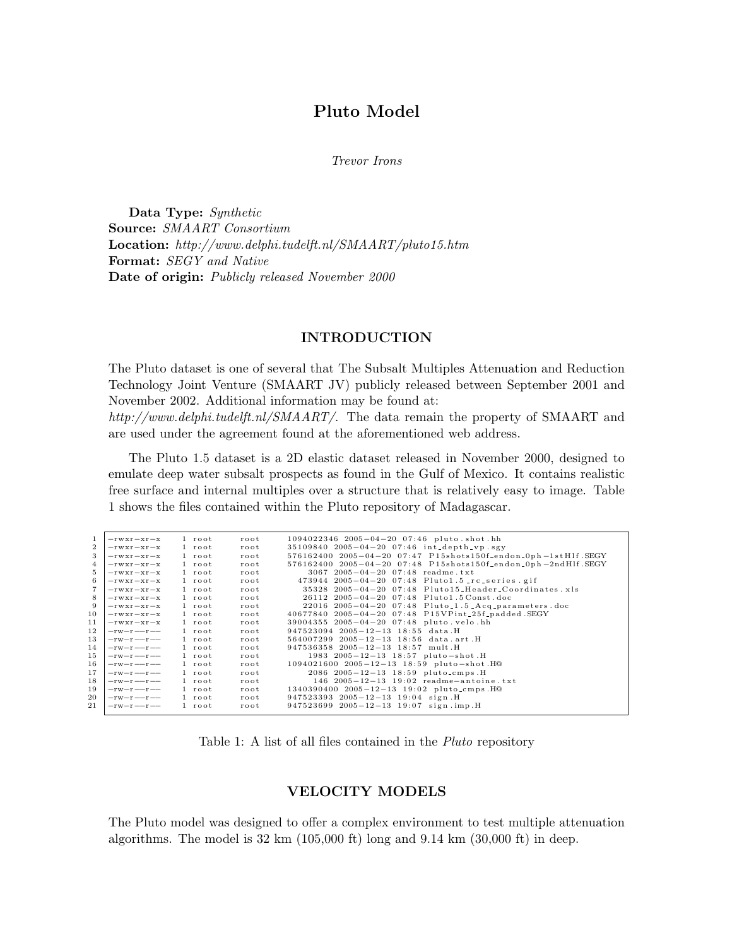# Pluto Model

Trevor Irons

Data Type: Synthetic Source: SMAART Consortium Location: http://www.delphi.tudelft.nl/SMAART/pluto15.htm Format: SEGY and Native Date of origin: Publicly released November 2000

### INTRODUCTION

The Pluto dataset is one of several that The Subsalt Multiples Attenuation and Reduction Technology Joint Venture (SMAART JV) publicly released between September 2001 and November 2002. Additional information may be found at: http://www.delphi.tudelft.nl/SMAART/. The data remain the property of SMAART and are used under the agreement found at the aforementioned web address.

The Pluto 1.5 dataset is a 2D elastic dataset released in November 2000, designed to emulate deep water subsalt prospects as found in the Gulf of Mexico. It contains realistic free surface and internal multiples over a structure that is relatively easy to image. Table 1 shows the files contained within the Pluto repository of Madagascar.

| 1<br>$\overline{2}$<br>3<br>4<br>5<br>6<br>8<br>9 | $-rwxr - xr -x$<br>$-rwxr - xr -x$<br>$-rwxr - xr -x$<br>$-rwxr - xr -x$<br>$-rwxr - xr -x$<br>$-rwxr - xr -x$<br>$-rwxr - xr -x$<br>$-rwxr - xr -x$<br>$-rwxr - xr -x$ | 1 root<br>1 root<br>1 root<br>$1$ root<br>1 root<br>1 root<br>1 root<br>$1$ root<br>$1$ root | root<br>root<br>root<br>root<br>root<br>root<br>root<br>root<br>root | $1094022346$ $2005-04-20$ $07:46$ pluto shot hh<br>$35109840$ $2005-04-20$ $07:46$ int_depth_vp.sgy<br>$576162400$ $2005-04-20$ $07:47$ $P15shots150f_{endon}$ , $0ph-1stH1f$ . SEGY<br>576162400 2005-04-20 07:48 P15shots150f-endon-0ph-2ndHlf.SEGY<br>$3067$ $2005 - 04 - 20$ $07:48$ readme.txt<br>473944 $2005-04-20$ 07:48 Pluto1.5 rc series gif<br>$35328$ $2005-04-20$ $07:48$ Pluto15_Header_Coordinates.xls<br>26112 2005-04-20 07:48 Pluto1.5 Const.doc<br>$22016$ $2005-04-20$ $07:48$ Pluto <sub>-1</sub> .5-Acq-parameters.doc |
|---------------------------------------------------|-------------------------------------------------------------------------------------------------------------------------------------------------------------------------|----------------------------------------------------------------------------------------------|----------------------------------------------------------------------|-----------------------------------------------------------------------------------------------------------------------------------------------------------------------------------------------------------------------------------------------------------------------------------------------------------------------------------------------------------------------------------------------------------------------------------------------------------------------------------------------------------------------------------------------|
| 10                                                | $-rwxr - xr -x$                                                                                                                                                         | 1 root                                                                                       | root                                                                 | 40677840 2005-04-20 07:48 P15VPint_25f_padded.SEGY                                                                                                                                                                                                                                                                                                                                                                                                                                                                                            |
| 11                                                | $-rwxr - xr -x$                                                                                                                                                         | $1$ root                                                                                     | root                                                                 | 39004355 2005-04-20 07:48 pluto.velo.hh                                                                                                                                                                                                                                                                                                                                                                                                                                                                                                       |
| 12                                                | $-{\rm rw-r}$ $-{\rm r}$ $-{\rm -}$                                                                                                                                     | $1$ root                                                                                     | root                                                                 | $947523094$ $2005-12-13$ $18:55$ data.H                                                                                                                                                                                                                                                                                                                                                                                                                                                                                                       |
| 13                                                | $-{\rm rw-r}$ $-{\rm r}$ $-{\rm -}$                                                                                                                                     | $1$ root                                                                                     | root                                                                 | $564007299$ $2005-12-13$ 18:56 data.art.H                                                                                                                                                                                                                                                                                                                                                                                                                                                                                                     |
| 14                                                | $-rw-r$ --                                                                                                                                                              | $1$ root                                                                                     | root                                                                 | 947536358 2005-12-13 18:57 mult.H                                                                                                                                                                                                                                                                                                                                                                                                                                                                                                             |
| 15                                                | $-rw-r$ --                                                                                                                                                              | 1 root                                                                                       | root                                                                 | 1983 $2005 - 12 - 13$ 18:57 pluto-shot.H                                                                                                                                                                                                                                                                                                                                                                                                                                                                                                      |
| 16                                                | $-rw-r$ --                                                                                                                                                              | $1$ root                                                                                     | root                                                                 | 1094021600 2005-12-13 18:59 pluto-shot.H@                                                                                                                                                                                                                                                                                                                                                                                                                                                                                                     |
| 17                                                | $-rw-r$ --                                                                                                                                                              | $1$ root                                                                                     | root                                                                 | 2086 2005-12-13 18:59 pluto_cmps.H                                                                                                                                                                                                                                                                                                                                                                                                                                                                                                            |
| 18                                                | $-rw-r$ --                                                                                                                                                              | $1$ root                                                                                     | root                                                                 | $146$ 2005-12-13 19:02 readme-antoine.txt                                                                                                                                                                                                                                                                                                                                                                                                                                                                                                     |
| 19                                                | $-rw-r$ --                                                                                                                                                              | $1$ root                                                                                     | root                                                                 | 1340390400 2005-12-13 19:02 pluto_cmps.H@                                                                                                                                                                                                                                                                                                                                                                                                                                                                                                     |
| 20                                                | $-rw-r$ --                                                                                                                                                              | $1$ root                                                                                     | root                                                                 | $947523393$ $2005-12-13$ $19:04$ sign. H                                                                                                                                                                                                                                                                                                                                                                                                                                                                                                      |
| 21                                                | $-rw-r$ --                                                                                                                                                              | $1$ root                                                                                     | root                                                                 | $947523699$ $2005-12-13$ 19:07 sign.imp.H                                                                                                                                                                                                                                                                                                                                                                                                                                                                                                     |
|                                                   |                                                                                                                                                                         |                                                                                              |                                                                      |                                                                                                                                                                                                                                                                                                                                                                                                                                                                                                                                               |

Table 1: A list of all files contained in the Pluto repository

## VELOCITY MODELS

The Pluto model was designed to offer a complex environment to test multiple attenuation algorithms. The model is  $32 \text{ km } (105,000 \text{ ft})$  long and  $9.14 \text{ km } (30,000 \text{ ft})$  in deep.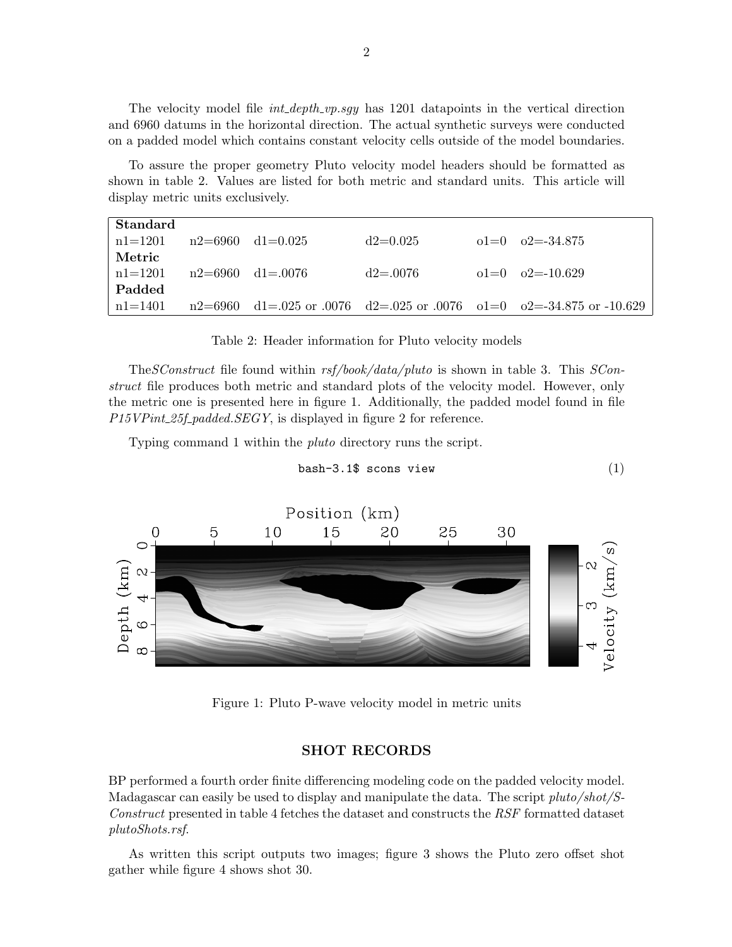The velocity model file  $int\_{depth\_vp}.sgy$  has 1201 datapoints in the vertical direction and 6960 datums in the horizontal direction. The actual synthetic surveys were conducted on a padded model which contains constant velocity cells outside of the model boundaries.

To assure the proper geometry Pluto velocity model headers should be formatted as shown in table 2. Values are listed for both metric and standard units. This article will display metric units exclusively.

| Standard                       |  |              |                                                                        |
|--------------------------------|--|--------------|------------------------------------------------------------------------|
| $n1=1201$ $n2=6960$ $d1=0.025$ |  | $d2=0.025$   | $01=0$ $02=.34.875$                                                    |
| Metric                         |  |              |                                                                        |
| $n1=1201$ $n2=6960$ $d1=.0076$ |  | $d2 = 0.076$ | $01=0$ $02=10.629$                                                     |
| Padded                         |  |              |                                                                        |
| n1=1401                        |  |              | $n2=6960$ d1=.025 or .0076 d2=.025 or .0076 o1=0 o2=-34.875 or -10.629 |

Table 2: Header information for Pluto velocity models

The SConstruct file found within rsf/book/data/pluto is shown in table 3. This SConstruct file produces both metric and standard plots of the velocity model. However, only the metric one is presented here in figure 1. Additionally, the padded model found in file P15VPint\_25f\_padded.SEGY, is displayed in figure 2 for reference.

Typing command 1 within the pluto directory runs the script.

$$
bash - 3.1\
$$
s cons view (1)



Figure 1: Pluto P-wave velocity model in metric units

#### SHOT RECORDS

BP performed a fourth order finite differencing modeling code on the padded velocity model. Madagascar can easily be used to display and manipulate the data. The script pluto/shot/S-Construct presented in table 4 fetches the dataset and constructs the RSF formatted dataset plutoShots.rsf.

As written this script outputs two images; figure 3 shows the Pluto zero offset shot gather while figure 4 shows shot 30.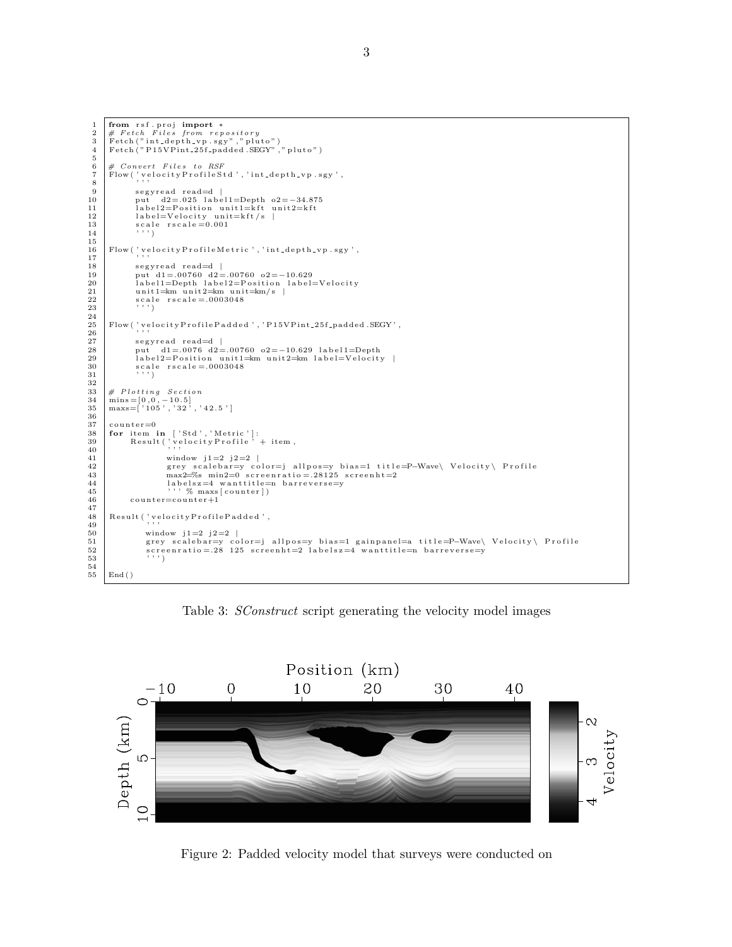1 from r sf . proj import \*<br>
2 # Fetch Files from repository<br>
3 Fetch ("nt1-depth\_vp .sgy","pluto")<br>
Fetch ("P15VPint\_25f\_padded .SEGY","pluto")  $\begin{array}{c} 5 \\ 6 \end{array}$ 6 | # Convert Files to RSF<br>7 | Flow('velocityProfileStd','int\_depth\_vp.sgy',<br>8 | 9 segyread read=d |<br>10 put d2=.025 label1=Depth o2=−34.875 11  $\begin{array}{|l|l|} 11 & \text{label2}=Position unit1=kft unit2=kft} \end{array}$ <br>12  $\begin{array}{|l|l|l|} 11 & \text{label=Velocity unit=kft/s} \end{array}$ 12 | label=Velocity unit=kft/s |<br>13 | scale rscale=0.001<br>14 | ''')  $\begin{array}{c} 15 \\ 16 \end{array}$ Flow ( ' velocity Profile Metric ', 'int-depth-vp.sgy',  $\frac{17}{18}$ 18 s e g y r e a d r e ad=d | 19 put d1 = .00760 d2 = .00760 o2=−10.629 20 l a b e l 1=Depth l a b e l 2=P o s i t i o n l a b e l=V e l o c i t y 21 unit 1=km unit 2=km unit =km/s |<br>22 scale rscale = .0003048<br>23 ; , ,  $\begin{array}{c} 24 \\ 25 \end{array}$  ${\rm Flow}$  (  ${\rm 'velocity ProfileP added}$  ,  ${\rm 'P15VPint\_25f\_padded}$  .  ${\rm SEGY}$  ,  $26$  $\begin{array}{c|c} 27 & \text{segy read read=d} \\ 28 & \text{put} & \text{d1} = .0076 & \text{d2} = \end{array}$ 28 put d1=.0076 d2=.00760 o2=−10.629 label1=Depth<br>29 label2=Position unit1=km unit2=km label=Velocity |  $30 \n31 \n32 \n33 \n34 \n35 \n36 \n37 \n38 \n39 \n30 \n31 \n33 \n34 \n35 \n36 \n38 \n39 \n30 \n30 \n31 \n32 \n33 \n34 \n35 \n36 \n38 \n39 \n30 \n30 \n31 \n32 \n33 \n34 \n35 \n36 \n37 \n38 \n39 \n30 \n30 \n30 \n31 \n32 \n33 \n34 \n35 \n36 \n37 \n38 \n39 \n30 \n30 \n30 \n31 \n$  $\hspace{0.1mm},\hspace{0.1mm}$  '  $\hspace{0.1mm}$  ' )  $\frac{32}{33}$ 33  $\#$  Plotting Section<br>34  $\text{mins} = [0, 0, -10.5]$  $34$  mins =  $[0, 0, -10.5]$ <br>  $35$  maxs =  $[105', 32', 42.5']$  $\frac{36}{37}$  $\begin{array}{c|c}\n 37 & \text{counter=0} \\
 38 & \text{for item}\n \end{array}$ 38 for item in ['Std','Metric']:<br>39 Result('velocityProfile' + item,<br>40  $\begin{array}{lll} 41 & \text{window} & j1=2 \ j2=2 \ \text{grey scale} \text{bar=y color=j allpos=y bias=1 title=} & \text{Wave} \ \text{Velocity} \setminus \text{Profit}= & \text{na} \text{x}=\text{% min2} \ \text{max} \leq & \text{size min=1} \end{array}$ 45 ' ' ' % maxs [ c o u n t e r ] )  $counter = counter +1$  $\frac{47}{48}$ 48 Result ('velocityProfilePadded',<br>49  $\begin{array}{c|c} 50 & \text{window} & j1=2 \text{ } j2=2 \text{ } l \\ 51 & \text{grey} & \text{scalebar} = y \text{ } c \text{ } c \end{array}$ 51 grey scalebar=y color=j allpos=y bias=1 gainpanel=a title=P–Wave\ Velocity\ Profile<br>52 screenratio=.28 125 screenht=2 labelsz=4 wanttitle=n barreverse=y<br>''')  $\begin{array}{c} 54 \\ 55 \end{array}$  $End()$ 

Table 3: *SConstruct* script generating the velocity model images



Figure 2: Padded velocity model that surveys were conducted on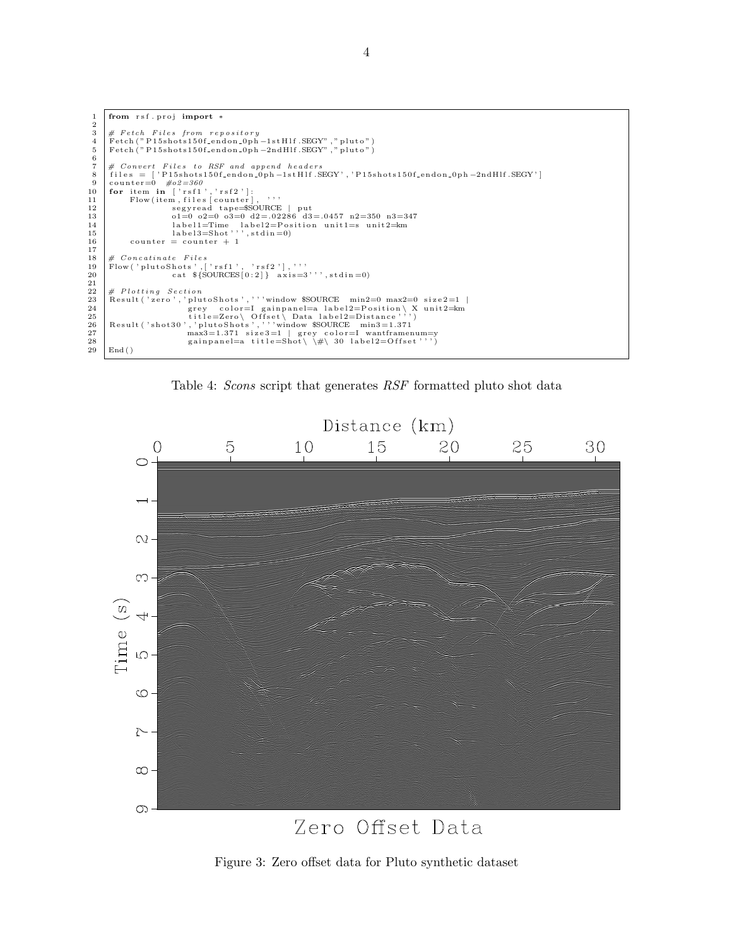```
from rsf.proj import *
  \,1\,\overline{2}\# \textit{ Fetch}\ \textit{Files}\ \textit{from \textit{repository}} \\ \textit{Fetch}\ (\text{``P15shots150f-endon.0ph-1stHlf.SEGY''\ },\text{``pluto''\ }) \\ \textit{Fetch}\ (\text{``P15shots150f-endon.0ph-2ndHlf.SEGY''\ },\text{``pluto''\ }) \\\overline{3}\overline{\mathbf{4}}\overline{5}\frac{6}{7}# Convert Files to RSF and append headers<br>files = ['P15shots150f_endon_0ph-1stHlf.SEGY','P15shots150f_endon_0ph-2ndHlf.SEGY']
   8
          counter=0 \#o2=360<br>for item in ['rsf1','rsf2']:
   \frac{1}{9}10\,Flow(item, files [counter], ,,,<br>segyread tape=$SOURCE | put<br>ol=0 o2=0 o3=0 d2=.02286 d3=.0457 n2=350 n3=347<br>label1=Time label2=Position unitl=s unit2=km<br>label3=Shot''', stdin=0)
                                                                                         . . .
11
12
\begin{array}{c} 13 \\ 14 \end{array}15\,\frac{16}{17}\begin{array}{rcl}\n\text{counter} & = & \text{counter} + 1\n\end{array}\begin{array}{ll} \# \ & \textit{Concatinate} \ & \textit{Files} \\ \textit{Flow('plutoShots', ['rsf1', 'rsf2'], ' ' ' \cr & \textit{cat $ \S$OURCES[0:2] } \ & \textit{axis=3'} \ \text{'',} \ \textit{stdin=0)} \end{array}18\,19
\frac{1}{20}\frac{21}{22}\bf{^{23}}2425
\sqrt{26}2728
29
           End()
```
Table 4: Scons script that generates RSF formatted pluto shot data



# Zero Offset Data

Figure 3: Zero offset data for Pluto synthetic dataset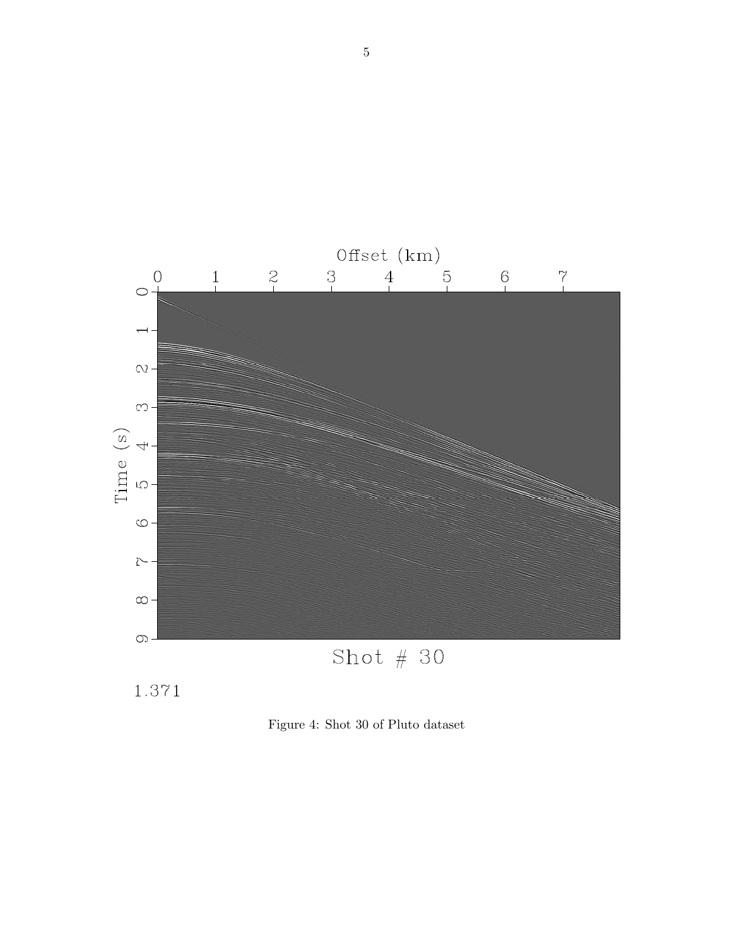

Figure 4: Shot 30 of Pluto dataset